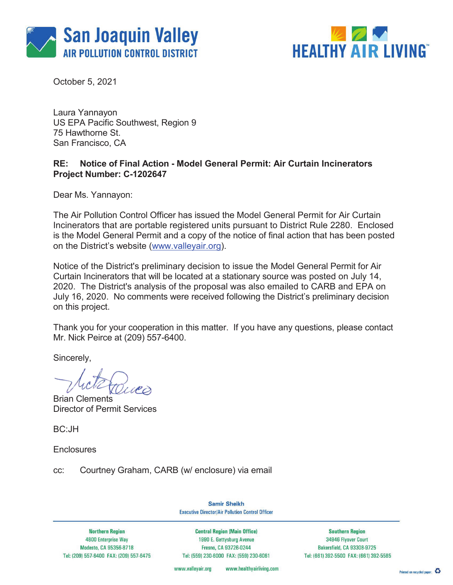



October 5, 2021

Laura Yannayon US EPA Pacific Southwest, Region 9 75 Hawthorne St. San Francisco, CA

## **RE: Notice of Final Action - Model General Permit: Air Curtain Incinerators Project Number: C-1202647**

Dear Ms. Yannayon:

The Air Pollution Control Officer has issued the Model General Permit for Air Curtain Incinerators that are portable registered units pursuant to District Rule 2280. Enclosed is the Model General Permit and a copy of the notice of final action that has been posted on the District's website (www.valleyair.org).

Notice of the District's preliminary decision to issue the Model General Permit for Air Curtain Incinerators that will be located at a stationary source was posted on July 14, 2020. The District's analysis of the proposal was also emailed to CARB and EPA on July 16, 2020. No comments were received following the District's preliminary decision on this project.

Thank you for your cooperation in this matter. If you have any questions, please contact Mr. Nick Peirce at (209) 557-6400.

Sincerely,

Brian Clements Director of Permit Services

BC:JH

**Enclosures** 

cc: Courtney Graham, CARB (w/ enclosure) via email

**Samir Sheikh Executive Director/Air Pollution Control Officer** 

**Northern Region 4800 Enterprise Way** Modesto, CA 95356-8718 Tel: (209) 557-6400 FAX: (209) 557-6475

**Central Region (Main Office)** 1990 E. Gettysburg Avenue Fresno, CA 93726-0244 Tel: (559) 230-6000 FAX: (559) 230-6061

**Southern Region** 34946 Flyover Court Bakersfield, CA 93308-9725 Tel: (661) 392-5500 FAX: (661) 392-5585

www.healthyairliving.com www.valleyair.org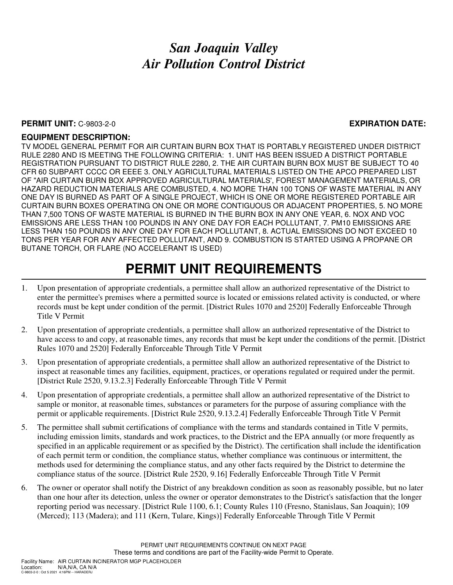## *San Joaquin Valley Air Pollution Control District*

### **PERMIT UNIT:** C-9803-2-0 **EXPIRATION DATE:**

### **EQUIPMENT DESCRIPTION:**

TV MODEL GENERAL PERMIT FOR AIR CURTAIN BURN BOX THAT IS PORTABLY REGISTERED UNDER DISTRICT RULE 2280 AND IS MEETING THE FOLLOWING CRITERIA: 1. UNIT HAS BEEN ISSUED A DISTRICT PORTABLE REGISTRATION PURSUANT TO DISTRICT RULE 2280, 2. THE AIR CURTAIN BURN BOX MUST BE SUBJECT TO 40 CFR 60 SUBPART CCCC OR EEEE 3. ONLY AGRICULTURAL MATERIALS LISTED ON THE APCO PREPARED LIST OF "AIR CURTAIN BURN BOX APPROVED AGRICULTURAL MATERIALS', FOREST MANAGEMENT MATERIALS, OR HAZARD REDUCTION MATERIALS ARE COMBUSTED, 4. NO MORE THAN 100 TONS OF WASTE MATERIAL IN ANY ONE DAY IS BURNED AS PART OF A SINGLE PROJECT, WHICH IS ONE OR MORE REGISTERED PORTABLE AIR CURTAIN BURN BOXES OPERATING ON ONE OR MORE CONTIGUOUS OR ADJACENT PROPERTIES, 5. NO MORE THAN 7,500 TONS OF WASTE MATERIAL IS BURNED IN THE BURN BOX IN ANY ONE YEAR, 6. NOX AND VOC EMISSIONS ARE LESS THAN 100 POUNDS IN ANY ONE DAY FOR EACH POLLUTANT, 7. PM10 EMISSIONS ARE LESS THAN 150 POUNDS IN ANY ONE DAY FOR EACH POLLUTANT, 8. ACTUAL EMISSIONS DO NOT EXCEED 10 TONS PER YEAR FOR ANY AFFECTED POLLUTANT, AND 9. COMBUSTION IS STARTED USING A PROPANE OR BUTANE TORCH, OR FLARE (NO ACCELERANT IS USED)

# **PERMIT UNIT REQUIREMENTS**

- 1. Upon presentation of appropriate credentials, a permittee shall allow an authorized representative of the District to enter the permittee's premises where a permitted source is located or emissions related activity is conducted, or where records must be kept under condition of the permit. [District Rules 1070 and 2520] Federally Enforceable Through Title V Permit
- 2. Upon presentation of appropriate credentials, a permittee shall allow an authorized representative of the District to have access to and copy, at reasonable times, any records that must be kept under the conditions of the permit. [District Rules 1070 and 2520] Federally Enforceable Through Title V Permit
- 3. Upon presentation of appropriate credentials, a permittee shall allow an authorized representative of the District to inspect at reasonable times any facilities, equipment, practices, or operations regulated or required under the permit. [District Rule 2520, 9.13.2.3] Federally Enforceable Through Title V Permit
- 4. Upon presentation of appropriate credentials, a permittee shall allow an authorized representative of the District to sample or monitor, at reasonable times, substances or parameters for the purpose of assuring compliance with the permit or applicable requirements. [District Rule 2520, 9.13.2.4] Federally Enforceable Through Title V Permit
- 5. The permittee shall submit certifications of compliance with the terms and standards contained in Title V permits, including emission limits, standards and work practices, to the District and the EPA annually (or more frequently as specified in an applicable requirement or as specified by the District). The certification shall include the identification of each permit term or condition, the compliance status, whether compliance was continuous or intermittent, the methods used for determining the compliance status, and any other facts required by the District to determine the compliance status of the source. [District Rule 2520, 9.16] Federally Enforceable Through Title V Permit
- 6. The owner or operator shall notify the District of any breakdown condition as soon as reasonably possible, but no later than one hour after its detection, unless the owner or operator demonstrates to the District's satisfaction that the longer reporting period was necessary. [District Rule 1100, 6.1; County Rules 110 (Fresno, Stanislaus, San Joaquin); 109 (Merced); 113 (Madera); and 111 (Kern, Tulare, Kings)] Federally Enforceable Through Title V Permit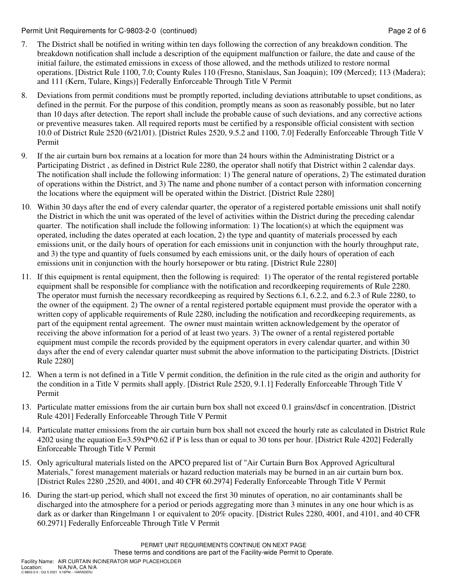Permit Unit Requirements for C-9803-2-0 (continued) **Page 2** of 6

- 7. The District shall be notified in writing within ten days following the correction of any breakdown condition. The breakdown notification shall include a description of the equipment malfunction or failure, the date and cause of the initial failure, the estimated emissions in excess of those allowed, and the methods utilized to restore normal operations. [District Rule 1100, 7.0; County Rules 110 (Fresno, Stanislaus, San Joaquin); 109 (Merced); 113 (Madera); and 111 (Kern, Tulare, Kings)] Federally Enforceable Through Title V Permit
- 8. Deviations from permit conditions must be promptly reported, including deviations attributable to upset conditions, as defined in the permit. For the purpose of this condition, promptly means as soon as reasonably possible, but no later than 10 days after detection. The report shall include the probable cause of such deviations, and any corrective actions or preventive measures taken. All required reports must be certified by a responsible official consistent with section 10.0 of District Rule 2520 (6/21/01). [District Rules 2520, 9.5.2 and 1100, 7.0] Federally Enforceable Through Title V Permit
- 9. If the air curtain burn box remains at a location for more than 24 hours within the Administrating District or a Participating District , as defined in District Rule 2280, the operator shall notify that District within 2 calendar days. The notification shall include the following information: 1) The general nature of operations, 2) The estimated duration of operations within the District, and 3) The name and phone number of a contact person with information concerning the locations where the equipment will be operated within the District. [District Rule 2280]
- 10. Within 30 days after the end of every calendar quarter, the operator of a registered portable emissions unit shall notify the District in which the unit was operated of the level of activities within the District during the preceding calendar quarter. The notification shall include the following information: 1) The location(s) at which the equipment was operated, including the dates operated at each location, 2) the type and quantity of materials processed by each emissions unit, or the daily hours of operation for each emissions unit in conjunction with the hourly throughput rate, and 3) the type and quantity of fuels consumed by each emissions unit, or the daily hours of operation of each emissions unit in conjunction with the hourly horsepower or btu rating. [District Rule 2280]
- 11. If this equipment is rental equipment, then the following is required: 1) The operator of the rental registered portable equipment shall be responsible for compliance with the notification and recordkeeping requirements of Rule 2280. The operator must furnish the necessary recordkeeping as required by Sections 6.1, 6.2.2, and 6.2.3 of Rule 2280, to the owner of the equipment. 2) The owner of a rental registered portable equipment must provide the operator with a written copy of applicable requirements of Rule 2280, including the notification and recordkeeping requirements, as part of the equipment rental agreement. The owner must maintain written acknowledgement by the operator of receiving the above information for a period of at least two years. 3) The owner of a rental registered portable equipment must compile the records provided by the equipment operators in every calendar quarter, and within 30 days after the end of every calendar quarter must submit the above information to the participating Districts. [District Rule 2280]
- 12. When a term is not defined in a Title V permit condition, the definition in the rule cited as the origin and authority for the condition in a Title V permits shall apply. [District Rule 2520, 9.1.1] Federally Enforceable Through Title V Permit
- 13. Particulate matter emissions from the air curtain burn box shall not exceed 0.1 grains/dscf in concentration. [District Rule 4201] Federally Enforceable Through Title V Permit
- 14. Particulate matter emissions from the air curtain burn box shall not exceed the hourly rate as calculated in District Rule 4202 using the equation E=3.59xP^0.62 if P is less than or equal to 30 tons per hour. [District Rule 4202] Federally Enforceable Through Title V Permit
- 15. Only agricultural materials listed on the APCO prepared list of "Air Curtain Burn Box Approved Agricultural Materials," forest management materials or hazard reduction materials may be burned in an air curtain burn box. [District Rules 2280 ,2520, and 4001, and 40 CFR 60.2974] Federally Enforceable Through Title V Permit
- 16. During the start-up period, which shall not exceed the first 30 minutes of operation, no air contaminants shall be discharged into the atmosphere for a period or periods aggregating more than 3 minutes in any one hour which is as dark as or darker than Ringelmann 1 or equivalent to 20% opacity. [District Rules 2280, 4001, and 4101, and 40 CFR 60.2971] Federally Enforceable Through Title V Permit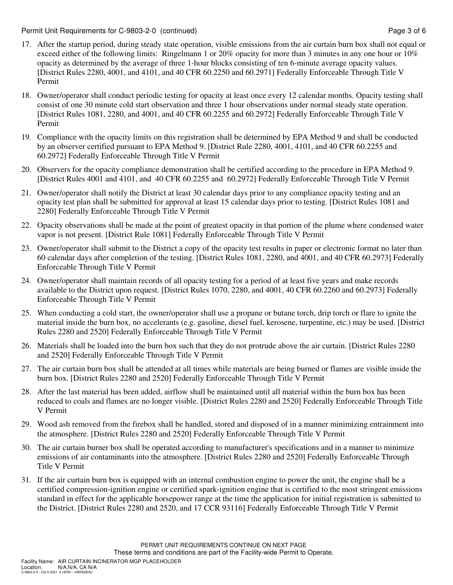Permit Unit Requirements for C-9803-2-0 (continued) **Page 3 of 6** and 2 of 6

- 17. After the startup period, during steady state operation, visible emissions from the air curtain burn box shall not equal or exceed either of the following limits: Ringelmann 1 or 20% opacity for more than 3 minutes in any one hour or 10% opacity as determined by the average of three 1-hour blocks consisting of ten 6-minute average opacity values. [District Rules 2280, 4001, and 4101, and 40 CFR 60.2250 and 60.2971] Federally Enforceable Through Title V Permit
- 18. Owner/operator shall conduct periodic testing for opacity at least once every 12 calendar months. Opacity testing shall consist of one 30 minute cold start observation and three 1 hour observations under normal steady state operation. [District Rules 1081, 2280, and 4001, and 40 CFR 60.2255 and 60.2972] Federally Enforceable Through Title V Permit
- 19. Compliance with the opacity limits on this registration shall be determined by EPA Method 9 and shall be conducted by an observer certified pursuant to EPA Method 9. [District Rule 2280, 4001, 4101, and 40 CFR 60.2255 and 60.2972] Federally Enforceable Through Title V Permit
- 20. Observers for the opacity compliance demonstration shall be certified according to the procedure in EPA Method 9. [District Rules 4001 and 4101, and 40 CFR 60.2255 and 60.2972] Federally Enforceable Through Title V Permit
- 21. Owner/operator shall notify the District at least 30 calendar days prior to any compliance opacity testing and an opacity test plan shall be submitted for approval at least 15 calendar days prior to testing. [District Rules 1081 and 2280] Federally Enforceable Through Title V Permit
- 22. Opacity observations shall be made at the point of greatest opacity in that portion of the plume where condensed water vapor is not present. [District Rule 1081] Federally Enforceable Through Title V Permit
- 23. Owner/operator shall submit to the District a copy of the opacity test results in paper or electronic format no later than 60 calendar days after completion of the testing. [District Rules 1081, 2280, and 4001, and 40 CFR 60.2973] Federally Enforceable Through Title V Permit
- 24. Owner/operator shall maintain records of all opacity testing for a period of at least five years and make records available to the District upon request. [District Rules 1070, 2280, and 4001, 40 CFR 60.2260 and 60.2973] Federally Enforceable Through Title V Permit
- 25. When conducting a cold start, the owner/operator shall use a propane or butane torch, drip torch or flare to ignite the material inside the burn box, no accelerants (e.g. gasoline, diesel fuel, kerosene, turpentine, etc.) may be used. [District Rules 2280 and 2520] Federally Enforceable Through Title V Permit
- 26. Materials shall be loaded into the burn box such that they do not protrude above the air curtain. [District Rules 2280 and 2520] Federally Enforceable Through Title V Permit
- 27. The air curtain burn box shall be attended at all times while materials are being burned or flames are visible inside the burn box. [District Rules 2280 and 2520] Federally Enforceable Through Title V Permit
- 28. After the last material has been added, airflow shall be maintained until all material within the burn box has been reduced to coals and flames are no longer visible. [District Rules 2280 and 2520] Federally Enforceable Through Title V Permit
- 29. Wood ash removed from the firebox shall be handled, stored and disposed of in a manner minimizing entrainment into the atmosphere. [District Rules 2280 and 2520] Federally Enforceable Through Title V Permit
- 30. The air curtain burner box shall be operated according to manufacturer's specifications and in a manner to minimize emissions of air contaminants into the atmosphere. [District Rules 2280 and 2520] Federally Enforceable Through Title V Permit
- 31. If the air curtain burn box is equipped with an internal combustion engine to power the unit, the engine shall be a certified compression-ignition engine or certified spark-ignition engine that is certified to the most stringent emissions standard in effect for the applicable horsepower range at the time the application for initial registration is submitted to the District. [District Rules 2280 and 2520, and 17 CCR 93116] Federally Enforceable Through Title V Permit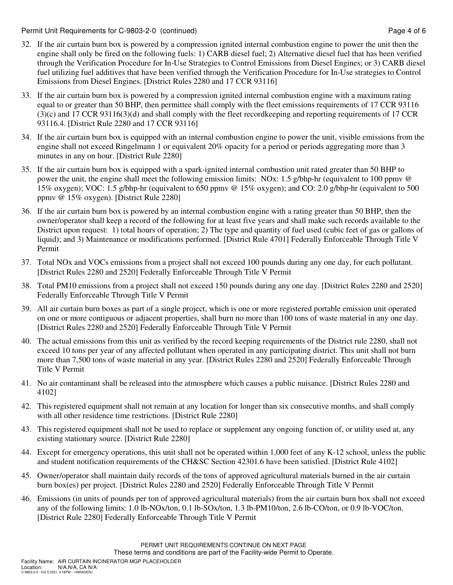Permit Unit Requirements for C-9803-2-0 (continued) Page 4 of 6

- 32. If the air curtain burn box is powered by a compression ignited internal combustion engine to power the unit then the engine shall only be fired on the following fuels: 1) CARB diesel fuel; 2) Alternative diesel fuel that has been verified through the Verification Procedure for In-Use Strategies to Control Emissions from Diesel Engines; or 3) CARB diesel fuel utilizing fuel additives that have been verified through the Verification Procedure for In-Use strategies to Control Emissions from Diesel Engines. [District Rules 2280 and 17 CCR 93116]
- 33. If the air curtain burn box is powered by a compression ignited internal combustion engine with a maximum rating equal to or greater than 50 BHP, then permittee shall comply with the fleet emissions requirements of 17 CCR 93116 (3)(c) and 17 CCR 93116(3)(d) and shall comply with the fleet recordkeeping and reporting requirements of 17 CCR 93116.4. [District Rule 2280 and 17 CCR 93116]
- 34. If the air curtain burn box is equipped with an internal combustion engine to power the unit, visible emissions from the engine shall not exceed Ringelmann 1 or equivalent 20% opacity for a period or periods aggregating more than 3 minutes in any on hour. [District Rule 2280]
- 35. If the air curtain burn box is equipped with a spark-ignited internal combustion unit rated greater than 50 BHP to power the unit, the engine shall meet the following emission limits: NOx: 1.5 g/bhp-hr (equivalent to 100 ppmv @ 15% oxygen); VOC: 1.5 g/bhp-hr (equivalent to 650 ppmv @ 15% oxygen); and CO: 2.0 g/bhp-hr (equivalent to 500 ppmv @ 15% oxygen). [District Rule 2280]
- 36. If the air curtain burn box is powered by an internal combustion engine with a rating greater than 50 BHP, then the owner/operator shall keep a record of the following for at least five years and shall make such records available to the District upon request: 1) total hours of operation; 2) The type and quantity of fuel used (cubic feet of gas or gallons of liquid); and 3) Maintenance or modifications performed. [District Rule 4701] Federally Enforceable Through Title V Permit
- 37. Total NOx and VOCs emissions from a project shall not exceed 100 pounds during any one day, for each pollutant. [District Rules 2280 and 2520] Federally Enforceable Through Title V Permit
- 38. Total PM10 emissions from a project shall not exceed 150 pounds during any one day. [District Rules 2280 and 2520] Federally Enforceable Through Title V Permit
- 39. All air curtain burn boxes as part of a single project, which is one or more registered portable emission unit operated on one or more contiguous or adjacent properties, shall burn no more than 100 tons of waste material in any one day. [District Rules 2280 and 2520] Federally Enforceable Through Title V Permit
- 40. The actual emissions from this unit as verified by the record keeping requirements of the District rule 2280, shall not exceed 10 tons per year of any affected pollutant when operated in any participating district. This unit shall not burn more than 7,500 tons of waste material in any year. [District Rules 2280 and 2520] Federally Enforceable Through Title V Permit
- 41. No air contaminant shall be released into the atmosphere which causes a public nuisance. [District Rules 2280 and 4102]
- 42. This registered equipment shall not remain at any location for longer than six consecutive months, and shall comply with all other residence time restrictions. [District Rule 2280]
- 43. This registered equipment shall not be used to replace or supplement any ongoing function of, or utility used at, any existing stationary source. [District Rule 2280]
- 44. Except for emergency operations, this unit shall not be operated within 1,000 feet of any K-12 school, unless the public and student notification requirements of the CH&SC Section 42301.6 have been satisfied. [District Rule 4102]
- 45. Owner/operator shall maintain daily records of the tons of approved agricultural materials burned in the air curtain burn box(es) per project. [District Rules 2280 and 2520] Federally Enforceable Through Title V Permit
- 46. Emissions (in units of pounds per ton of approved agricultural materials) from the air curtain burn box shall not exceed any of the following limits: 1.0 lb-NOx/ton, 0.1 lb-SOx/ton, 1.3 lb-PM10/ton, 2.6 lb-CO/ton, or 0.9 lb-VOC/ton. [District Rule 2280] Federally Enforceable Through Title V Permit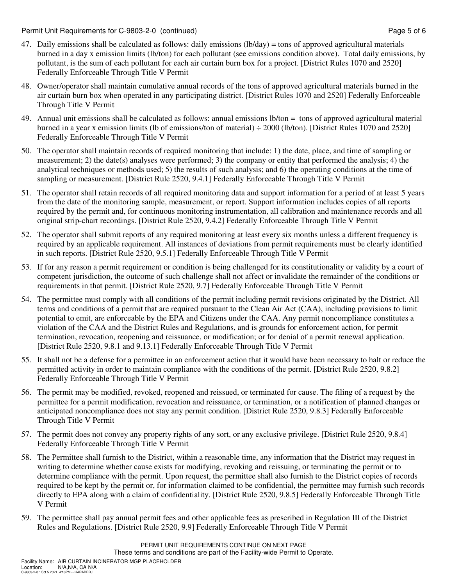Permit Unit Requirements for C-9803-2-0 (continued) **Page 5 of 6** and the state of 6 and the Page 5 of 6

- 47. Daily emissions shall be calculated as follows: daily emissions (lb/day) = tons of approved agricultural materials burned in a day x emission limits (lb/ton) for each pollutant (see emissions condition above). Total daily emissions, by pollutant, is the sum of each pollutant for each air curtain burn box for a project. [District Rules 1070 and 2520] Federally Enforceable Through Title V Permit
- 48. Owner/operator shall maintain cumulative annual records of the tons of approved agricultural materials burned in the air curtain burn box when operated in any participating district. [District Rules 1070 and 2520] Federally Enforceable Through Title V Permit
- 49. Annual unit emissions shall be calculated as follows: annual emissions lb/ton = tons of approved agricultural material burned in a year x emission limits (lb of emissions/ton of material) ÷ 2000 (lb/ton). [District Rules 1070 and 2520] Federally Enforceable Through Title V Permit
- 50. The operator shall maintain records of required monitoring that include: 1) the date, place, and time of sampling or measurement; 2) the date(s) analyses were performed; 3) the company or entity that performed the analysis; 4) the analytical techniques or methods used; 5) the results of such analysis; and 6) the operating conditions at the time of sampling or measurement. [District Rule 2520, 9.4.1] Federally Enforceable Through Title V Permit
- 51. The operator shall retain records of all required monitoring data and support information for a period of at least 5 years from the date of the monitoring sample, measurement, or report. Support information includes copies of all reports required by the permit and, for continuous monitoring instrumentation, all calibration and maintenance records and all original strip-chart recordings. [District Rule 2520, 9.4.2] Federally Enforceable Through Title V Permit
- 52. The operator shall submit reports of any required monitoring at least every six months unless a different frequency is required by an applicable requirement. All instances of deviations from permit requirements must be clearly identified in such reports. [District Rule 2520, 9.5.1] Federally Enforceable Through Title V Permit
- 53. If for any reason a permit requirement or condition is being challenged for its constitutionality or validity by a court of competent jurisdiction, the outcome of such challenge shall not affect or invalidate the remainder of the conditions or requirements in that permit. [District Rule 2520, 9.7] Federally Enforceable Through Title V Permit
- 54. The permittee must comply with all conditions of the permit including permit revisions originated by the District. All terms and conditions of a permit that are required pursuant to the Clean Air Act (CAA), including provisions to limit potential to emit, are enforceable by the EPA and Citizens under the CAA. Any permit noncompliance constitutes a violation of the CAA and the District Rules and Regulations, and is grounds for enforcement action, for permit termination, revocation, reopening and reissuance, or modification; or for denial of a permit renewal application. [District Rule 2520, 9.8.1 and 9.13.1] Federally Enforceable Through Title V Permit
- 55. It shall not be a defense for a permittee in an enforcement action that it would have been necessary to halt or reduce the permitted activity in order to maintain compliance with the conditions of the permit. [District Rule 2520, 9.8.2] Federally Enforceable Through Title V Permit
- 56. The permit may be modified, revoked, reopened and reissued, or terminated for cause. The filing of a request by the permittee for a permit modification, revocation and reissuance, or termination, or a notification of planned changes or anticipated noncompliance does not stay any permit condition. [District Rule 2520, 9.8.3] Federally Enforceable Through Title V Permit
- 57. The permit does not convey any property rights of any sort, or any exclusive privilege. [District Rule 2520, 9.8.4] Federally Enforceable Through Title V Permit
- 58. The Permittee shall furnish to the District, within a reasonable time, any information that the District may request in writing to determine whether cause exists for modifying, revoking and reissuing, or terminating the permit or to determine compliance with the permit. Upon request, the permittee shall also furnish to the District copies of records required to be kept by the permit or, for information claimed to be confidential, the permittee may furnish such records directly to EPA along with a claim of confidentiality. [District Rule 2520, 9.8.5] Federally Enforceable Through Title V Permit
- 59. The permittee shall pay annual permit fees and other applicable fees as prescribed in Regulation III of the District Rules and Regulations. [District Rule 2520, 9.9] Federally Enforceable Through Title V Permit